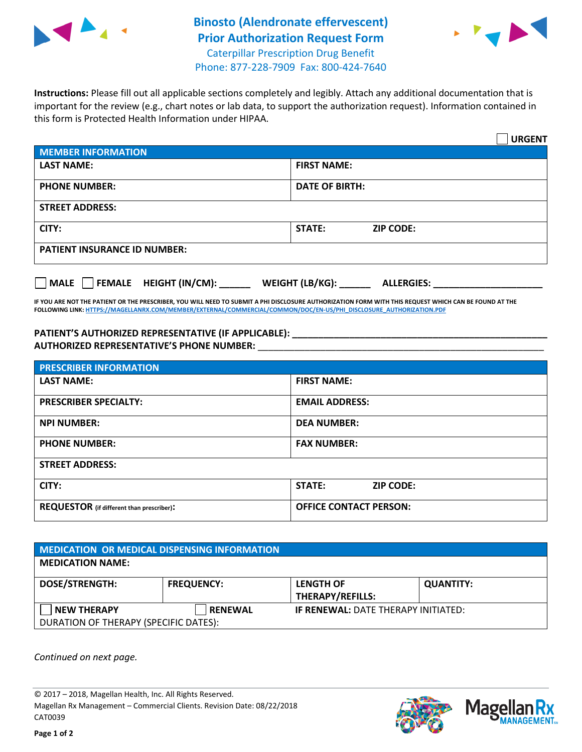

## **Binosto (Alendronate effervescent) Prior Authorization Request Form** Caterpillar Prescription Drug Benefit Phone: 877-228-7909 Fax: 800-424-7640



**Instructions:** Please fill out all applicable sections completely and legibly. Attach any additional documentation that is important for the review (e.g., chart notes or lab data, to support the authorization request). Information contained in this form is Protected Health Information under HIPAA.

|                                             | <b>URGENT</b>                          |  |  |  |
|---------------------------------------------|----------------------------------------|--|--|--|
| <b>MEMBER INFORMATION</b>                   |                                        |  |  |  |
| <b>LAST NAME:</b>                           | <b>FIRST NAME:</b>                     |  |  |  |
| <b>PHONE NUMBER:</b>                        | <b>DATE OF BIRTH:</b>                  |  |  |  |
| <b>STREET ADDRESS:</b>                      |                                        |  |  |  |
| CITY:                                       | <b>ZIP CODE:</b><br><b>STATE:</b>      |  |  |  |
| <b>PATIENT INSURANCE ID NUMBER:</b>         |                                        |  |  |  |
| $\Box$ MALE $\Box$ FEMALE HEIGHT (IN/CM): _ | WEIGHT (LB/KG): _<br><b>ALLERGIES:</b> |  |  |  |

**IF YOU ARE NOT THE PATIENT OR THE PRESCRIBER, YOU WILL NEED TO SUBMIT A PHI DISCLOSURE AUTHORIZATION FORM WITH THIS REQUEST WHICH CAN BE FOUND AT THE FOLLOWING LINK[: HTTPS://MAGELLANRX.COM/MEMBER/EXTERNAL/COMMERCIAL/COMMON/DOC/EN-US/PHI\\_DISCLOSURE\\_AUTHORIZATION.PDF](https://magellanrx.com/member/external/commercial/common/doc/en-us/PHI_Disclosure_Authorization.pdf)**

**PATIENT'S AUTHORIZED REPRESENTATIVE (IF APPLICABLE): \_\_\_\_\_\_\_\_\_\_\_\_\_\_\_\_\_\_\_\_\_\_\_\_\_\_\_\_\_\_\_\_\_\_\_\_\_\_\_\_\_\_\_\_\_\_\_\_\_ AUTHORIZED REPRESENTATIVE'S PHONE NUMBER:** \_\_\_\_\_\_\_\_\_\_\_\_\_\_\_\_\_\_\_\_\_\_\_\_\_\_\_\_\_\_\_\_\_\_\_\_\_\_\_\_\_\_\_\_\_\_\_\_\_\_\_\_\_\_\_

| <b>PRESCRIBER INFORMATION</b>             |                                   |  |  |  |
|-------------------------------------------|-----------------------------------|--|--|--|
| <b>LAST NAME:</b>                         | <b>FIRST NAME:</b>                |  |  |  |
| <b>PRESCRIBER SPECIALTY:</b>              | <b>EMAIL ADDRESS:</b>             |  |  |  |
| <b>NPI NUMBER:</b>                        | <b>DEA NUMBER:</b>                |  |  |  |
| <b>PHONE NUMBER:</b>                      | <b>FAX NUMBER:</b>                |  |  |  |
| <b>STREET ADDRESS:</b>                    |                                   |  |  |  |
| CITY:                                     | <b>STATE:</b><br><b>ZIP CODE:</b> |  |  |  |
| REQUESTOR (if different than prescriber): | <b>OFFICE CONTACT PERSON:</b>     |  |  |  |

| <b>MEDICATION OR MEDICAL DISPENSING INFORMATION</b> |                   |                                            |                  |  |  |
|-----------------------------------------------------|-------------------|--------------------------------------------|------------------|--|--|
| <b>MEDICATION NAME:</b>                             |                   |                                            |                  |  |  |
| <b>DOSE/STRENGTH:</b>                               | <b>FREQUENCY:</b> | <b>LENGTH OF</b>                           | <b>QUANTITY:</b> |  |  |
|                                                     |                   | <b>THERAPY/REFILLS:</b>                    |                  |  |  |
| NEW THERAPY                                         | <b>RENEWAL</b>    | <b>IF RENEWAL: DATE THERAPY INITIATED:</b> |                  |  |  |
| DURATION OF THERAPY (SPECIFIC DATES):               |                   |                                            |                  |  |  |

*Continued on next page.*

© 2017 – 2018, Magellan Health, Inc. All Rights Reserved. Magellan Rx Management – Commercial Clients. Revision Date: 08/22/2018 CAT0039